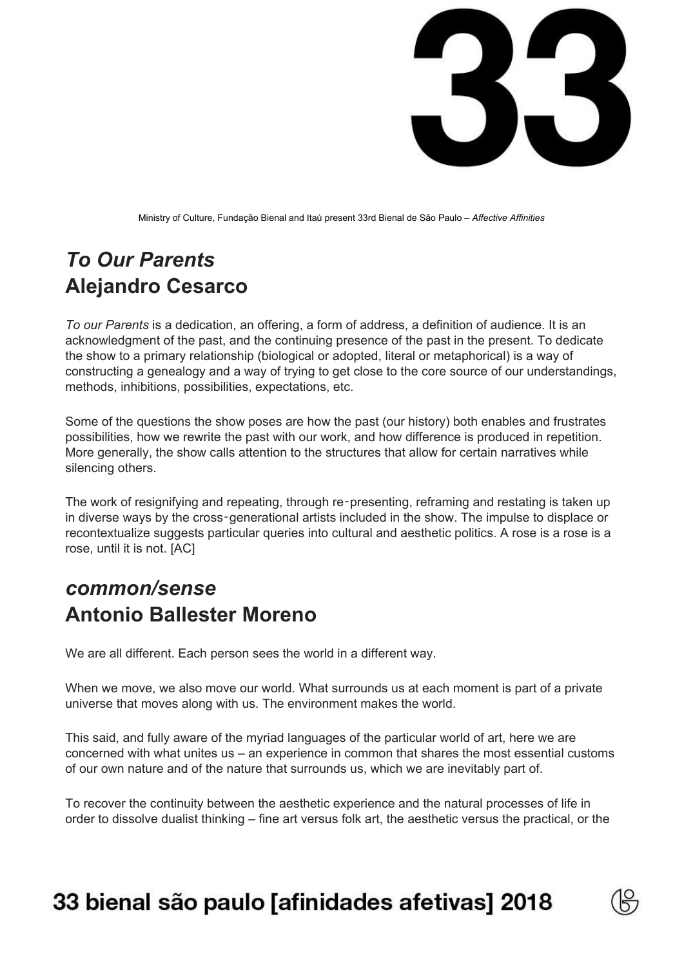

Ministry of Culture, Fundação Bienal and Itaú present 33rd Bienal de São Paulo – *Affective Affinities*

# *To Our Parents* **Alejandro Cesarco**

*To our Parents* is a dedication, an offering, a form of address, a definition of audience. It is an acknowledgment of the past, and the continuing presence of the past in the present. To dedicate the show to a primary relationship (biological or adopted, literal or metaphorical) is a way of constructing a genealogy and a way of trying to get close to the core source of our understandings, methods, inhibitions, possibilities, expectations, etc.

Some of the questions the show poses are how the past (our history) both enables and frustrates possibilities, how we rewrite the past with our work, and how difference is produced in repetition. More generally, the show calls attention to the structures that allow for certain narratives while silencing others.

The work of resignifying and repeating, through re-presenting, reframing and restating is taken up in diverse ways by the cross‑generational artists included in the show. The impulse to displace or recontextualize suggests particular queries into cultural and aesthetic politics. A rose is a rose is a rose, until it is not. [AC]

### *common/sense* **Antonio Ballester Moreno**

We are all different. Each person sees the world in a different way.

When we move, we also move our world. What surrounds us at each moment is part of a private universe that moves along with us. The environment makes the world.

This said, and fully aware of the myriad languages of the particular world of art, here we are concerned with what unites us – an experience in common that shares the most essential customs of our own nature and of the nature that surrounds us, which we are inevitably part of.

To recover the continuity between the aesthetic experience and the natural processes of life in order to dissolve dualist thinking – fine art versus folk art, the aesthetic versus the practical, or the

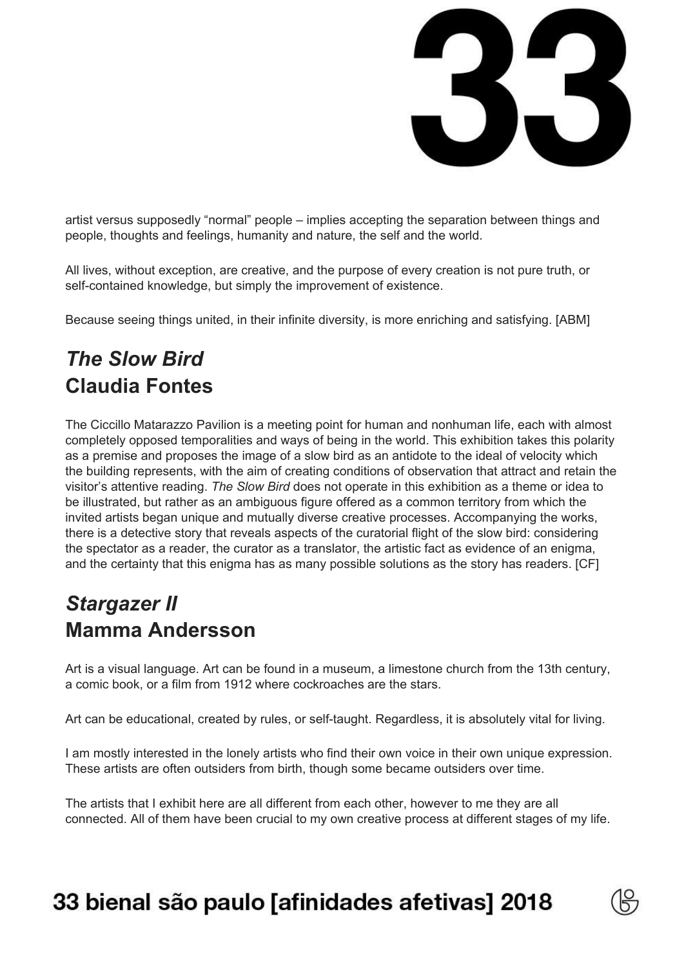

artist versus supposedly "normal" people – implies accepting the separation between things and people, thoughts and feelings, humanity and nature, the self and the world.

All lives, without exception, are creative, and the purpose of every creation is not pure truth, or self-contained knowledge, but simply the improvement of existence.

Because seeing things united, in their infinite diversity, is more enriching and satisfying. [ABM]

# *The Slow Bird* **Claudia Fontes**

The Ciccillo Matarazzo Pavilion is a meeting point for human and nonhuman life, each with almost completely opposed temporalities and ways of being in the world. This exhibition takes this polarity as a premise and proposes the image of a slow bird as an antidote to the ideal of velocity which the building represents, with the aim of creating conditions of observation that attract and retain the visitor's attentive reading. *The Slow Bird* does not operate in this exhibition as a theme or idea to be illustrated, but rather as an ambiguous figure offered as a common territory from which the invited artists began unique and mutually diverse creative processes. Accompanying the works, there is a detective story that reveals aspects of the curatorial flight of the slow bird: considering the spectator as a reader, the curator as a translator, the artistic fact as evidence of an enigma, and the certainty that this enigma has as many possible solutions as the story has readers. [CF]

## *Stargazer II* **Mamma Andersson**

Art is a visual language. Art can be found in a museum, a limestone church from the 13th century, a comic book, or a film from 1912 where cockroaches are the stars.

Art can be educational, created by rules, or self-taught. Regardless, it is absolutely vital for living.

I am mostly interested in the lonely artists who find their own voice in their own unique expression. These artists are often outsiders from birth, though some became outsiders over time.

The artists that I exhibit here are all different from each other, however to me they are all connected. All of them have been crucial to my own creative process at different stages of my life.

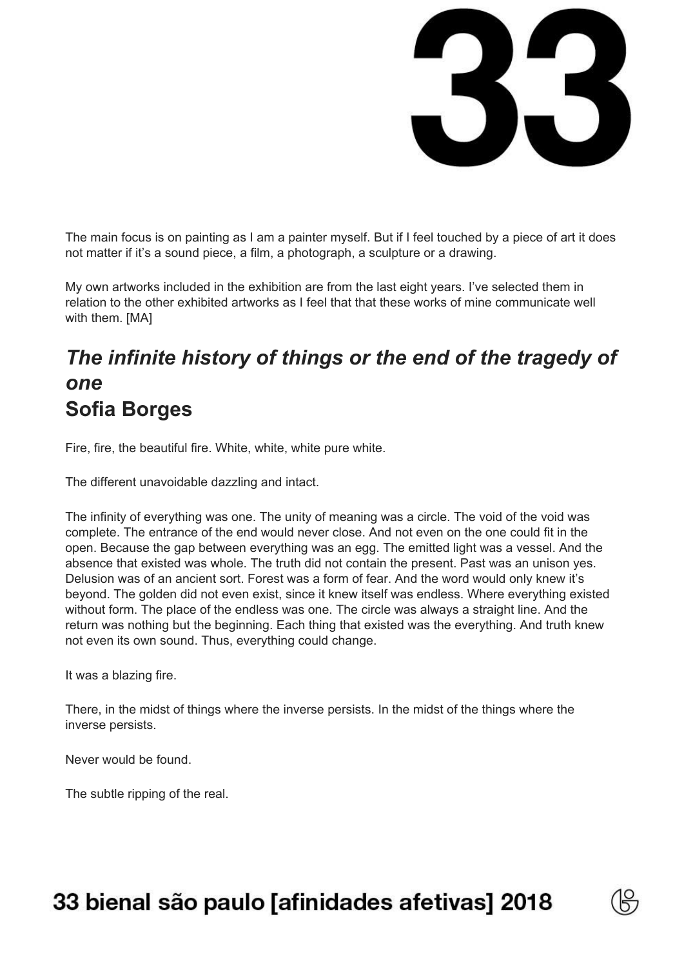

The main focus is on painting as I am a painter myself. But if I feel touched by a piece of art it does not matter if it's a sound piece, a film, a photograph, a sculpture or a drawing.

My own artworks included in the exhibition are from the last eight years. I've selected them in relation to the other exhibited artworks as I feel that that these works of mine communicate well with them. [MA]

## *The infinite history of things or the end of the tragedy of one* **Sofia Borges**

Fire, fire, the beautiful fire. White, white, white pure white.

The different unavoidable dazzling and intact.

The infinity of everything was one. The unity of meaning was a circle. The void of the void was complete. The entrance of the end would never close. And not even on the one could fit in the open. Because the gap between everything was an egg. The emitted light was a vessel. And the absence that existed was whole. The truth did not contain the present. Past was an unison yes. Delusion was of an ancient sort. Forest was a form of fear. And the word would only knew it's beyond. The golden did not even exist, since it knew itself was endless. Where everything existed without form. The place of the endless was one. The circle was always a straight line. And the return was nothing but the beginning. Each thing that existed was the everything. And truth knew not even its own sound. Thus, everything could change.

It was a blazing fire.

There, in the midst of things where the inverse persists. In the midst of the things where the inverse persists.

Never would be found.

The subtle ripping of the real.

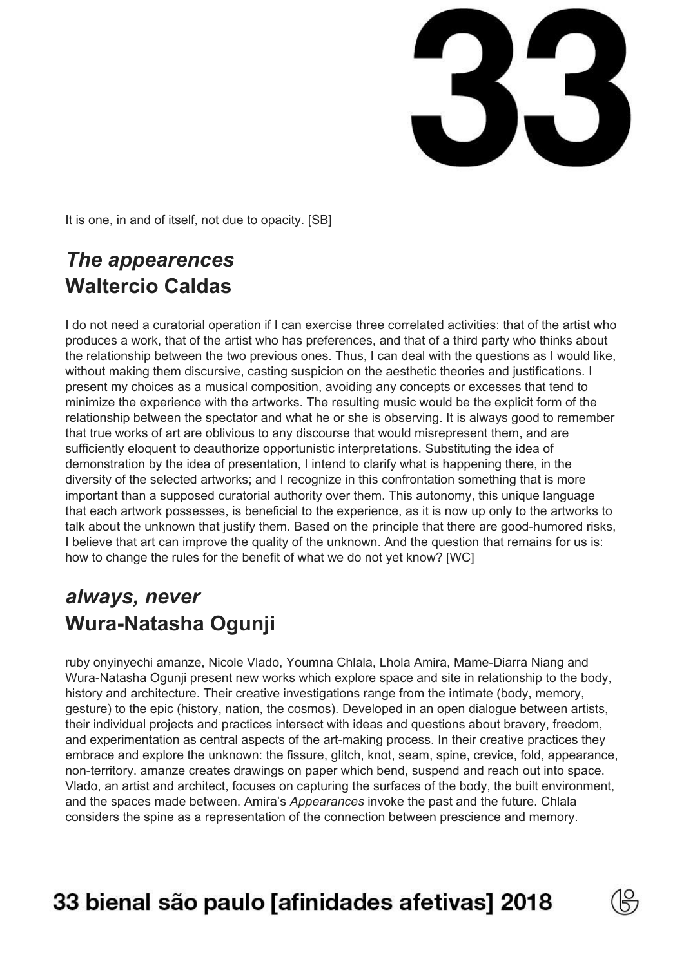5

It is one, in and of itself, not due to opacity. [SB]

### *The appearences* **Waltercio Caldas**

I do not need a curatorial operation if I can exercise three correlated activities: that of the artist who produces a work, that of the artist who has preferences, and that of a third party who thinks about the relationship between the two previous ones. Thus, I can deal with the questions as I would like, without making them discursive, casting suspicion on the aesthetic theories and justifications. I present my choices as a musical composition, avoiding any concepts or excesses that tend to minimize the experience with the artworks. The resulting music would be the explicit form of the relationship between the spectator and what he or she is observing. It is always good to remember that true works of art are oblivious to any discourse that would misrepresent them, and are sufficiently eloquent to deauthorize opportunistic interpretations. Substituting the idea of demonstration by the idea of presentation, I intend to clarify what is happening there, in the diversity of the selected artworks; and I recognize in this confrontation something that is more important than a supposed curatorial authority over them. This autonomy, this unique language that each artwork possesses, is beneficial to the experience, as it is now up only to the artworks to talk about the unknown that justify them. Based on the principle that there are good-humored risks, I believe that art can improve the quality of the unknown. And the question that remains for us is: how to change the rules for the benefit of what we do not yet know? [WC]

#### *always, never* **Wura-Natasha Ogunji**

ruby onyinyechi amanze, Nicole Vlado, Youmna Chlala, Lhola Amira, Mame-Diarra Niang and Wura-Natasha Ogunji present new works which explore space and site in relationship to the body, history and architecture. Their creative investigations range from the intimate (body, memory, gesture) to the epic (history, nation, the cosmos). Developed in an open dialogue between artists, their individual projects and practices intersect with ideas and questions about bravery, freedom, and experimentation as central aspects of the art-making process. In their creative practices they embrace and explore the unknown: the fissure, glitch, knot, seam, spine, crevice, fold, appearance, non-territory. amanze creates drawings on paper which bend, suspend and reach out into space. Vlado, an artist and architect, focuses on capturing the surfaces of the body, the built environment, and the spaces made between. Amira's *Appearances* invoke the past and the future. Chlala considers the spine as a representation of the connection between prescience and memory.

# 33 bienal são paulo [afinidades afetivas] 2018